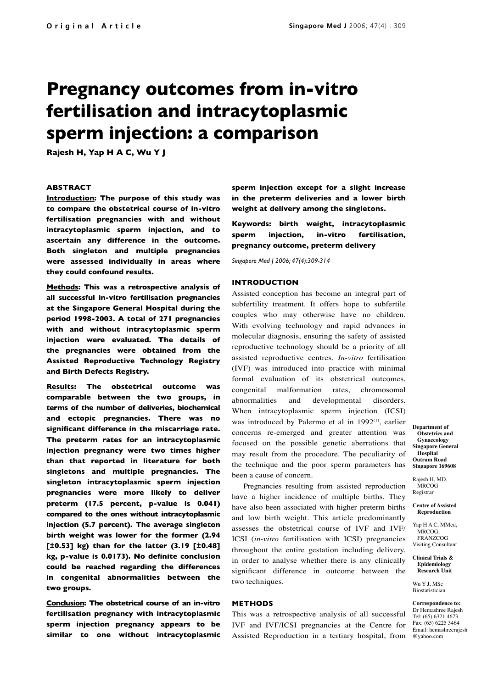# **Pregnancy outcomes from in-vitro fertilisation and intracytoplasmic sperm injection: a comparison**

**Rajesh H, Yap H A C, Wu Y J**

## **ABSTRACT**

**Introduction: The purpose of this study was to compare the obstetrical course of in-vitro fertilisation pregnancies with and without intracytoplasmic sperm injection, and to ascertain any difference in the outcome. Both singleton and multiple pregnancies were assessed individually in areas where they could confound results.**

**Methods: This was a retrospective analysis of all successful in-vitro fertilisation pregnancies at the Singapore General Hospital during the period 1998-2003. A total of 271 pregnancies with and without intracytoplasmic sperm injection were evaluated. The details of the pregnancies were obtained from the Assisted Reproductive Technology Registry and Birth Defects Registry.** 

**Results: The obstetrical outcome was comparable between the two groups, in terms of the number of deliveries, biochemical and ectopic pregnancies. There was no significant difference in the miscarriage rate. The preterm rates for an intracytoplasmic injection pregnancy were two times higher than that reported in literature for both singletons and multiple pregnancies. The singleton intracytoplasmic sperm injection pregnancies were more likely to deliver preterm (17.5 percent, p-value is 0.041) compared to the ones without intracytoplasmic injection (5.7 percent). The average singleton birth weight was lower for the former (2.94 [±0.53] kg) than for the latter (3.19 [±0.48] kg, p-value is 0.0173). No definite conclusion could be reached regarding the differences in congenital abnormalities between the two groups.**

**Conclusion: The obstetrical course of an in-vitro fertilisation pregnancy with intracytoplasmic sperm injection pregnancy appears to be similar to one without intracytoplasmic**  **sperm injection except for a slight increase in the preterm deliveries and a lower birth weight at delivery among the singletons.**

**Keywords: birth weight, intracytoplasmic sperm injection, in-vitro fertilisation, pregnancy outcome, preterm delivery**

*Singapore Med J 2006; 47(4):309-314*

## **INTRODUCTION**

Assisted conception has become an integral part of subfertility treatment. It offers hope to subfertile couples who may otherwise have no children. With evolving technology and rapid advances in molecular diagnosis, ensuring the safety of assisted reproductive technology should be a priority of all assisted reproductive centres. *In-vitro* fertilisation (IVF) was introduced into practice with minimal formal evaluation of its obstetrical outcomes, congenital malformation rates, chromosomal abnormalities and developmental disorders. When intracytoplasmic sperm injection (ICSI) was introduced by Palermo et al in 1992<sup>(1)</sup>, earlier concerns re-emerged and greater attention was focused on the possible genetic aberrations that may result from the procedure. The peculiarity of the technique and the poor sperm parameters has been a cause of concern.

Pregnancies resulting from assisted reproduction have a higher incidence of multiple births. They have also been associated with higher preterm births and low birth weight. This article predominantly assesses the obstetrical course of IVF and IVF/ ICSI (*in-vitro* fertilisation with ICSI) pregnancies throughout the entire gestation including delivery, in order to analyse whether there is any clinically significant difference in outcome between the two techniques.

# **METHODS**

Assisted Reproduction in a tertiary hospital, from @yahoo.com This was a retrospective analysis of all successful IVF and IVF/ICSI pregnancies at the Centre for

**Department of Obstetrics and Gynaecology Singapore General Hospital Outram Road Singapore 169608**

Rajesh H, MD, **MRCOG** Registrar

**Centre of Assisted Reproduction** 

Yap H A C, MMed, MRCOG, FRANZCOG Visiting Consultant

#### **Clinical Trials & Epidemiology Research Unit**

Wu Y L MSc Biostatistician

**Correspondence to:** Dr Hemashree Rajesh Tel: (65) 6321 4673 Fax: (65) 6225 3464 Email: hemashreerajesh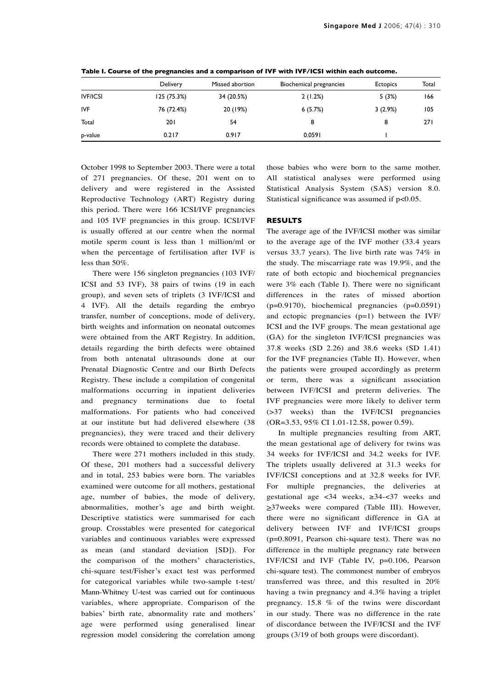|                 | Delivery    | Missed abortion | Biochemical pregnancies | <b>Ectopics</b> | Total |
|-----------------|-------------|-----------------|-------------------------|-----------------|-------|
| <b>IVF/ICSI</b> | 125 (75.3%) | 34 (20.5%)      | 2(1.2%)                 | 5(3%)           | 166   |
| <b>IVF</b>      | 76 (72.4%)  | 20 (19%)        | 6(5.7%)                 | 3(2.9%)         | 105   |
| Total           | 201         | 54              | 8                       | 8               | 271   |
| p-value         | 0.217       | 0.917           | 0.0591                  |                 |       |

**Table I. Course of the pregnancies and a comparison of IVF with IVF/ICSI within each outcome.**

October 1998 to September 2003. There were a total of 271 pregnancies. Of these, 201 went on to delivery and were registered in the Assisted Reproductive Technology (ART) Registry during this period. There were 166 ICSI/IVF pregnancies and 105 IVF pregnancies in this group. ICSI/IVF is usually offered at our centre when the normal motile sperm count is less than 1 million/ml or when the percentage of fertilisation after IVF is less than 50%.

There were 156 singleton pregnancies (103 IVF/ ICSI and 53 IVF), 38 pairs of twins (19 in each group), and seven sets of triplets (3 IVF/ICSI and 4 IVF). All the details regarding the embryo transfer, number of conceptions, mode of delivery, birth weights and information on neonatal outcomes were obtained from the ART Registry. In addition, details regarding the birth defects were obtained from both antenatal ultrasounds done at our Prenatal Diagnostic Centre and our Birth Defects Registry. These include a compilation of congenital malformations occurring in inpatient deliveries and pregnancy terminations due to foetal malformations. For patients who had conceived at our institute but had delivered elsewhere (38 pregnancies), they were traced and their delivery records were obtained to complete the database.

There were 271 mothers included in this study. Of these, 201 mothers had a successful delivery and in total, 253 babies were born. The variables examined were outcome for all mothers, gestational age, number of babies, the mode of delivery, abnormalities, mother's age and birth weight. Descriptive statistics were summarised for each group. Crosstables were presented for categorical variables and continuous variables were expressed as mean (and standard deviation [SD]). For the comparison of the mothers' characteristics, chi-square test/Fisher's exact test was performed for categorical variables while two-sample t-test/ Mann-Whitney U-test was carried out for continuous variables, where appropriate. Comparison of the babies' birth rate, abnormality rate and mothers' age were performed using generalised linear regression model considering the correlation among those babies who were born to the same mother. All statistical analyses were performed using Statistical Analysis System (SAS) version 8.0. Statistical significance was assumed if  $p<0.05$ .

# **RESULTS**

The average age of the IVF/ICSI mother was similar to the average age of the IVF mother (33.4 years versus 33.7 years). The live birth rate was 74% in the study. The miscarriage rate was 19.9%, and the rate of both ectopic and biochemical pregnancies were 3% each (Table I). There were no significant differences in the rates of missed abortion (p=0.9170), biochemical pregnancies (p=0.0591) and ectopic pregnancies (p=1) between the IVF/ ICSI and the IVF groups. The mean gestational age (GA) for the singleton IVF/ICSI pregnancies was 37.8 weeks (SD 2.26) and 38.6 weeks (SD 1.41) for the IVF pregnancies (Table II). However, when the patients were grouped accordingly as preterm or term, there was a significant association between IVF/ICSI and preterm deliveries. The IVF pregnancies were more likely to deliver term (>37 weeks) than the IVF/ICSI pregnancies (OR=3.53, 95% CI 1.01-12.58, power 0.59).

In multiple pregnancies resulting from ART, the mean gestational age of delivery for twins was 34 weeks for IVF/ICSI and 34.2 weeks for IVF. The triplets usually delivered at 31.3 weeks for IVF/ICSI conceptions and at 32.8 weeks for IVF. For multiple pregnancies, the deliveries at gestational age  $\lt 34$  weeks,  $\ge 34 - \lt 37$  weeks and >37weeks were compared (Table III). However, there were no significant difference in GA at delivery between IVF and IVF/ICSI groups (p=0.8091, Pearson chi-square test). There was no difference in the multiple pregnancy rate between IVF/ICSI and IVF (Table IV, p=0.106, Pearson chi-square test). The commonest number of embryos transferred was three, and this resulted in 20% having a twin pregnancy and 4.3% having a triplet pregnancy. 15.8 % of the twins were discordant in our study. There was no difference in the rate of discordance between the IVF/ICSI and the IVF groups (3/19 of both groups were discordant).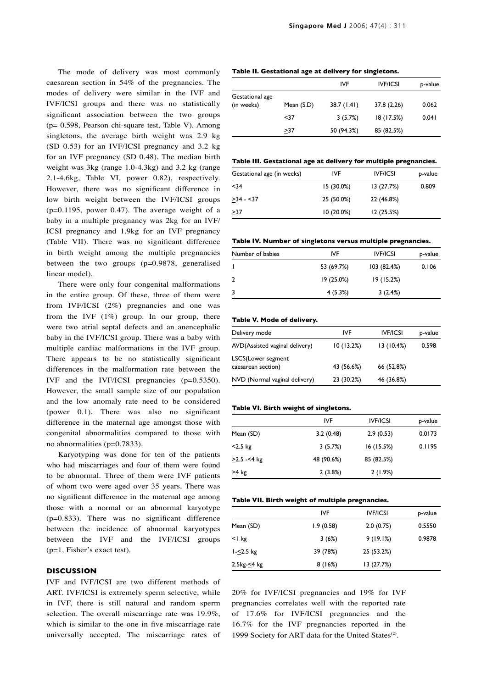The mode of delivery was most commonly caesarean section in 54% of the pregnancies. The modes of delivery were similar in the IVF and IVF/ICSI groups and there was no statistically significant association between the two groups (p= 0.598, Pearson chi-square test, Table V). Among singletons, the average birth weight was 2.9 kg (SD 0.53) for an IVF/ICSI pregnancy and 3.2 kg for an IVF pregnancy (SD 0.48). The median birth weight was 3kg (range 1.0-4.3kg) and 3.2 kg (range 2.1-4.6kg, Table VI, power 0.82), respectively. However, there was no significant difference in low birth weight between the IVF/ICSI groups  $(p=0.1195,$  power 0.47). The average weight of a baby in a multiple pregnancy was 2kg for an IVF/ ICSI pregnancy and 1.9kg for an IVF pregnancy (Table VII). There was no significant difference in birth weight among the multiple pregnancies between the two groups (p=0.9878, generalised linear model).

There were only four congenital malformations in the entire group. Of these, three of them were from IVF/ICSI (2%) pregnancies and one was from the IVF  $(1\%)$  group. In our group, there were two atrial septal defects and an anencephalic baby in the IVF/ICSI group. There was a baby with multiple cardiac malformations in the IVF group. There appears to be no statistically significant differences in the malformation rate between the IVF and the IVF/ICSI pregnancies (p=0.5350). However, the small sample size of our population and the low anomaly rate need to be considered (power 0.1). There was also no significant difference in the maternal age amongst those with congenital abnormalities compared to those with no abnormalities (p=0.7833).

Karyotyping was done for ten of the patients who had miscarriages and four of them were found to be abnormal. Three of them were IVF patients of whom two were aged over 35 years. There was no significant difference in the maternal age among those with a normal or an abnormal karyotype (p=0.833). There was no significant difference between the incidence of abnormal karyotypes between the IVF and the IVF/ICSI groups (p=1, Fisher's exact test).

## **DISCUSSION**

IVF and IVF/ICSI are two different methods of ART. IVF/ICSI is extremely sperm selective, while in IVF, there is still natural and random sperm selection. The overall miscarriage rate was 19.9%, which is similar to the one in five miscarriage rate universally accepted. The miscarriage rates of

#### **Table II. Gestational age at delivery for singletons.**

|                 |            | IVF         | <b>IVF/ICSI</b> | p-value |
|-----------------|------------|-------------|-----------------|---------|
| Gestational age |            |             |                 |         |
| (in weeks)      | Mean (S.D) | 38.7 (1.41) | 37.8 (2.26)     | 0.062   |
|                 | <37        | 3(5.7%)     | 18 (17.5%)      | 0.041   |
|                 | >37        | 50 (94.3%)  | 85 (82.5%)      |         |

#### **Table III. Gestational age at delivery for multiple pregnancies.**

| Gestational age (in weeks) | IVF          | <b>IVF/ICSI</b> | p-value |
|----------------------------|--------------|-----------------|---------|
| $34$                       | $15(30.0\%)$ | 13(27.7%)       | 0.809   |
| $>34 - 37$                 | 25 (50.0%)   | 22 (46.8%)      |         |
| >37                        | $10(20.0\%)$ | 12(25.5%)       |         |
|                            |              |                 |         |

#### **Table IV. Number of singletons versus multiple pregnancies.**

| Number of babies | IVF        | <b>IVF/ICSI</b> | p-value |
|------------------|------------|-----------------|---------|
|                  | 53 (69.7%) | 103(82.4%)      | 0.106   |
| $\overline{2}$   | 19 (25.0%) | 19 (15.2%)      |         |
| 3                | 4(5.3%)    | 3(2.4%)         |         |

#### **Table V. Mode of delivery.**

| Delivery mode                            | IVF        | <b>IVF/ICSI</b> | p-value |
|------------------------------------------|------------|-----------------|---------|
| AVD(Assisted vaginal delivery)           | 10(13.2%)  | 13(10.4%)       | 0.598   |
| LSCS(Lower segment<br>caesarean section) | 43 (56.6%) | 66 (52.8%)      |         |
| NVD (Normal vaginal delivery)            | 23 (30.2%) | 46 (36.8%)      |         |

## **Table VI. Birth weight of singletons.**

|                   | IVF        | <b>IVE/ICSI</b> | p-value |
|-------------------|------------|-----------------|---------|
| Mean (SD)         | 3.2(0.48)  | 2.9(0.53)       | 0.0173  |
| $<$ 2.5 kg        | 3(5.7%)    | 16(15.5%)       | 0.1195  |
| $\geq$ 2.5 -<4 kg | 48 (90.6%) | 85 (82.5%)      |         |
| $\geq$ 4 kg       | 2(3.8%)    | 2(1.9%)         |         |

#### **Table VII. Birth weight of multiple pregnancies.**

| IVF       | <b>IVE/ICSI</b> | p-value |
|-----------|-----------------|---------|
| 1.9(0.58) | 2.0(0.75)       | 0.5550  |
| 3(6%)     | 9(19.1%)        | 0.9878  |
| 39 (78%)  | 25 (53.2%)      |         |
| 8(16%)    | 13(27.7%)       |         |
|           |                 |         |

20% for IVF/ICSI pregnancies and 19% for IVF pregnancies correlates well with the reported rate of 17.6% for IVF/ICSI pregnancies and the 16.7% for the IVF pregnancies reported in the 1999 Society for ART data for the United States<sup>(2)</sup>.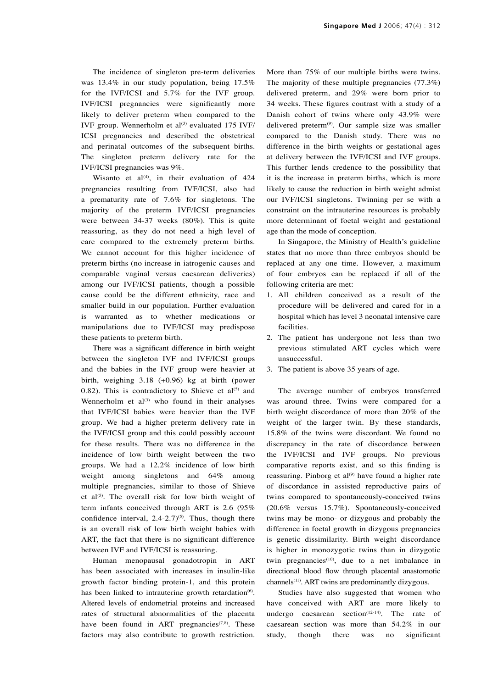The incidence of singleton pre-term deliveries was 13.4% in our study population, being 17.5% for the IVF/ICSI and 5.7% for the IVF group. IVF/ICSI pregnancies were significantly more likely to deliver preterm when compared to the IVF group. Wennerholm et al<sup>(3)</sup> evaluated 175 IVF/ ICSI pregnancies and described the obstetrical and perinatal outcomes of the subsequent births. The singleton preterm delivery rate for the IVF/ICSI pregnancies was 9%.

Wisanto et al<sup>(4)</sup>, in their evaluation of  $424$ pregnancies resulting from IVF/ICSI, also had a prematurity rate of 7.6% for singletons. The majority of the preterm IVF/ICSI pregnancies were between 34-37 weeks (80%). This is quite reassuring, as they do not need a high level of care compared to the extremely preterm births. We cannot account for this higher incidence of preterm births (no increase in iatrogenic causes and comparable vaginal versus caesarean deliveries) among our IVF/ICSI patients, though a possible cause could be the different ethnicity, race and smaller build in our population. Further evaluation is warranted as to whether medications or manipulations due to IVF/ICSI may predispose these patients to preterm birth.

There was a significant difference in birth weight between the singleton IVF and IVF/ICSI groups and the babies in the IVF group were heavier at birth, weighing 3.18 (+0.96) kg at birth (power 0.82). This is contradictory to Shieve et  $al^{(5)}$  and Wennerholm et  $al^{(3)}$  who found in their analyses that IVF/ICSI babies were heavier than the IVF group. We had a higher preterm delivery rate in the IVF/ICSI group and this could possibly account for these results. There was no difference in the incidence of low birth weight between the two groups. We had a 12.2% incidence of low birth weight among singletons and 64% among multiple pregnancies, similar to those of Shieve et al<sup>(5)</sup>. The overall risk for low birth weight of term infants conceived through ART is 2.6 (95% confidence interval,  $2.4$ - $2.7$ <sup>(5)</sup>. Thus, though there is an overall risk of low birth weight babies with ART, the fact that there is no significant difference between IVF and IVF/ICSI is reassuring.

Human menopausal gonadotropin in ART has been associated with increases in insulin-like growth factor binding protein-1, and this protein has been linked to intrauterine growth retardation<sup>(6)</sup>. Altered levels of endometrial proteins and increased rates of structural abnormalities of the placenta have been found in ART pregnancies<sup> $(7,8)$ </sup>. These factors may also contribute to growth restriction.

More than 75% of our multiple births were twins. The majority of these multiple pregnancies (77.3%) delivered preterm, and 29% were born prior to 34 weeks. These figures contrast with a study of a Danish cohort of twins where only 43.9% were delivered preterm(9). Our sample size was smaller compared to the Danish study. There was no difference in the birth weights or gestational ages at delivery between the IVF/ICSI and IVF groups. This further lends credence to the possibility that it is the increase in preterm births, which is more likely to cause the reduction in birth weight admist our IVF/ICSI singletons. Twinning per se with a constraint on the intrauterine resources is probably more determinant of foetal weight and gestational age than the mode of conception.

In Singapore, the Ministry of Health's guideline states that no more than three embryos should be replaced at any one time. However, a maximum of four embryos can be replaced if all of the following criteria are met:

- 1. All children conceived as a result of the procedure will be delivered and cared for in a hospital which has level 3 neonatal intensive care facilities.
- 2. The patient has undergone not less than two previous stimulated ART cycles which were unsuccessful.
- 3. The patient is above 35 years of age.

The average number of embryos transferred was around three. Twins were compared for a birth weight discordance of more than 20% of the weight of the larger twin. By these standards, 15.8% of the twins were discordant. We found no discrepancy in the rate of discordance between the IVF/ICSI and IVF groups. No previous comparative reports exist, and so this finding is reassuring. Pinborg et al<sup>(9)</sup> have found a higher rate of discordance in assisted reproductive pairs of twins compared to spontaneously-conceived twins (20.6% versus 15.7%). Spontaneously-conceived twins may be mono- or dizygous and probably the difference in foetal growth in dizygous pregnancies is genetic dissimilarity. Birth weight discordance is higher in monozygotic twins than in dizygotic twin pregnancies $(10)$ , due to a net imbalance in directional blood flow through placental anastomotic channels<sup>(11)</sup>. ART twins are predominantly dizygous.

Studies have also suggested that women who have conceived with ART are more likely to undergo caesarean section<sup> $(12-14)$ </sup>. The rate of caesarean section was more than 54.2% in our study, though there was no significant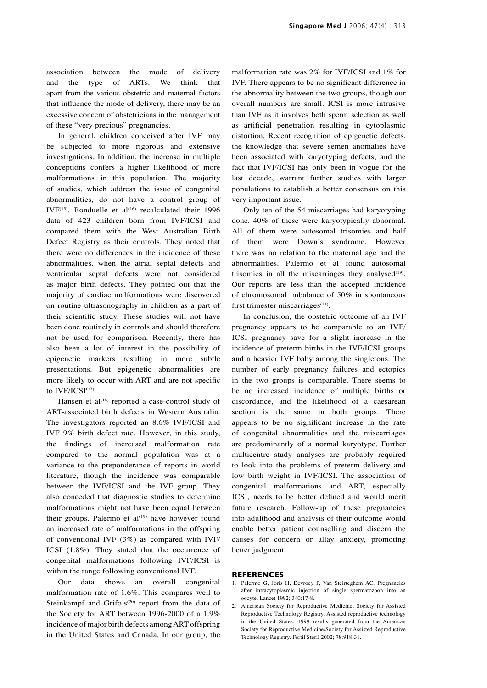association between the mode of delivery and the type of ARTs. We think that apart from the various obstetric and maternal factors that influence the mode of delivery, there may be an excessive concern of obstetricians in the management of these "very precious" pregnancies.

In general, children conceived after IVF may be subjected to more rigorous and extensive investigations. In addition, the increase in multiple conceptions confers a higher likelihood of more malformations in this population. The majority of studies, which address the issue of congenital abnormalities, do not have a control group of IVF(15). Bonduelle et al<sup>(16)</sup> recalculated their 1996 data of 423 children born from IVF/ICSI and compared them with the West Australian Birth Defect Registry as their controls. They noted that there were no differences in the incidence of these abnormalities, when the atrial septal defects and ventricular septal defects were not considered as major birth defects. They pointed out that the majority of cardiac malformations were discovered on routine ultrasonography in children as a part of their scientific study. These studies will not have been done routinely in controls and should therefore not be used for comparison. Recently, there has also been a lot of interest in the possibility of epigenetic markers resulting in more subtle presentations. But epigenetic abnormalities are more likely to occur with ART and are not specific to IVF/ICSI<sup>(17)</sup>.

Hansen et al<sup> $(18)$ </sup> reported a case-control study of ART-associated birth defects in Western Australia. The investigators reported an 8.6% IVF/ICSI and IVF 9% birth defect rate. However, in this study, the findings of increased malformation rate compared to the normal population was at a variance to the preponderance of reports in world literature, though the incidence was comparable between the IVF/ICSI and the IVF group. They also conceded that diagnostic studies to determine malformations might not have been equal between their groups. Palermo et  $al^{(19)}$  have however found an increased rate of malformations in the offspring of conventional IVF (3%) as compared with IVF/ ICSI (1.8%). They stated that the occurrence of congenital malformations following IVF/ICSI is within the range following conventional IVF.

Our data shows an overall congenital malformation rate of 1.6%. This compares well to Steinkampf and Grifo's<sup>(20)</sup> report from the data of the Society for ART between 1996-2000 of a 1.9% incidence of major birth defects among ART offspring in the United States and Canada. In our group, the malformation rate was 2% for IVF/ICSI and 1% for IVF. There appears to be no significant difference in the abnormality between the two groups, though our overall numbers are small. ICSI is more intrusive than IVF as it involves both sperm selection as well as artificial penetration resulting in cytoplasmic distortion. Recent recognition of epigenetic defects, the knowledge that severe semen anomalies have been associated with karyotyping defects, and the fact that IVF/ICSI has only been in vogue for the last decade, warrant further studies with larger populations to establish a better consensus on this very important issue.

Only ten of the 54 miscarriages had karyotyping done. 40% of these were karyotypically abnormal. All of them were autosomal trisomies and half of them were Down's syndrome. However there was no relation to the maternal age and the abnormalities. Palermo et al found autosomal trisomies in all the miscarriages they analysed $(19)$ . Our reports are less than the accepted incidence of chromosomal imbalance of 50% in spontaneous first trimester miscarriages<sup>(21)</sup>.

In conclusion, the obstetric outcome of an IVF pregnancy appears to be comparable to an IVF/ ICSI pregnancy save for a slight increase in the incidence of preterm births in the IVF/ICSI groups and a heavier IVF baby among the singletons. The number of early pregnancy failures and ectopics in the two groups is comparable. There seems to be no increased incidence of multiple births or discordance, and the likelihood of a caesarean section is the same in both groups. There appears to be no significant increase in the rate of congenital abnormalities and the miscarriages are predominantly of a normal karyotype. Further multicentre study analyses are probably required to look into the problems of preterm delivery and low birth weight in IVF/ICSI. The association of congenital malformations and ART, especially ICSI, needs to be better defined and would merit future research. Follow-up of these pregnancies into adulthood and analysis of their outcome would enable better patient counselling and discern the causes for concern or allay anxiety, promoting better judgment.

#### **REFERENCES**

- 1. Palermo G, Joris H, Devroey P, Van Steirteghem AC. Pregnancies after intracytoplasmic injection of single spermatozoon into an oocyte. Lancet 1992; 340:17-8.
- 2. American Society for Reproductive Medicine; Society for Assisted Reproductive Technology Registry. Assisted reproductive technology in the United States: 1999 results generated from the American Society for Reproductive Medicine/Society for Assisted Reproductive Technology Registry. Fertil Steril 2002; 78:918-31.